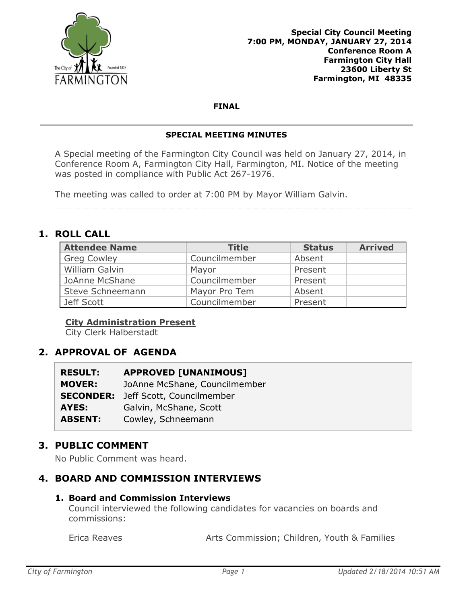

#### **FINAL**

#### **SPECIAL MEETING MINUTES**

A Special meeting of the Farmington City Council was held on January 27, 2014, in Conference Room A, Farmington City Hall, Farmington, MI. Notice of the meeting was posted in compliance with Public Act 267-1976.

The meeting was called to order at 7:00 PM by Mayor William Galvin.

## **1. ROLL CALL**

| <b>Attendee Name</b> | <b>Title</b>  | <b>Status</b> | <b>Arrived</b> |
|----------------------|---------------|---------------|----------------|
| <b>Greg Cowley</b>   | Councilmember | Absent        |                |
| William Galvin       | Mayor         | Present       |                |
| JoAnne McShane       | Councilmember | Present       |                |
| Steve Schneemann     | Mayor Pro Tem | Absent        |                |
| Jeff Scott           | Councilmember | Present       |                |

#### **City Administration Present**

City Clerk Halberstadt

# **2. APPROVAL OF AGENDA**

| <b>RESULT:</b> | <b>APPROVED [UNANIMOUS]</b>                |
|----------------|--------------------------------------------|
| <b>MOVER:</b>  | JoAnne McShane, Councilmember              |
|                | <b>SECONDER:</b> Jeff Scott, Councilmember |
| <b>AYES:</b>   | Galvin, McShane, Scott                     |
| <b>ABSENT:</b> | Cowley, Schneemann                         |

### **3. PUBLIC COMMENT**

No Public Comment was heard.

### **4. BOARD AND COMMISSION INTERVIEWS**

### **1. Board and Commission Interviews**

Council interviewed the following candidates for vacancies on boards and commissions:

Erica Reaves **Arts Commission; Children, Youth & Families**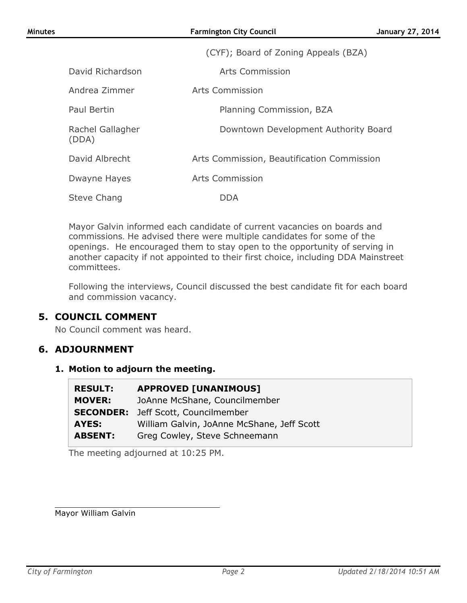|                           | (CYF); Board of Zoning Appeals (BZA)       |
|---------------------------|--------------------------------------------|
| David Richardson          | Arts Commission                            |
| Andrea Zimmer             | Arts Commission                            |
| Paul Bertin               | Planning Commission, BZA                   |
| Rachel Gallagher<br>(DDA) | Downtown Development Authority Board       |
| David Albrecht            | Arts Commission, Beautification Commission |
| Dwayne Hayes              | <b>Arts Commission</b>                     |
| Steve Chang               | DDA                                        |

Mayor Galvin informed each candidate of current vacancies on boards and commissions. He advised there were multiple candidates for some of the openings. He encouraged them to stay open to the opportunity of serving in another capacity if not appointed to their first choice, including DDA Mainstreet committees.

Following the interviews, Council discussed the best candidate fit for each board and commission vacancy.

### **5. COUNCIL COMMENT**

No Council comment was heard.

### **6. ADJOURNMENT**

#### **1. Motion to adjourn the meeting.**

| <b>RESULT:</b>   | <b>APPROVED [UNANIMOUS]</b>                |
|------------------|--------------------------------------------|
| <b>MOVER:</b>    | JoAnne McShane, Councilmember              |
| <b>SECONDER:</b> | Jeff Scott, Councilmember                  |
| <b>AYES:</b>     | William Galvin, JoAnne McShane, Jeff Scott |
| <b>ABSENT:</b>   | Greg Cowley, Steve Schneemann              |

The meeting adjourned at 10:25 PM.

Mayor William Galvin